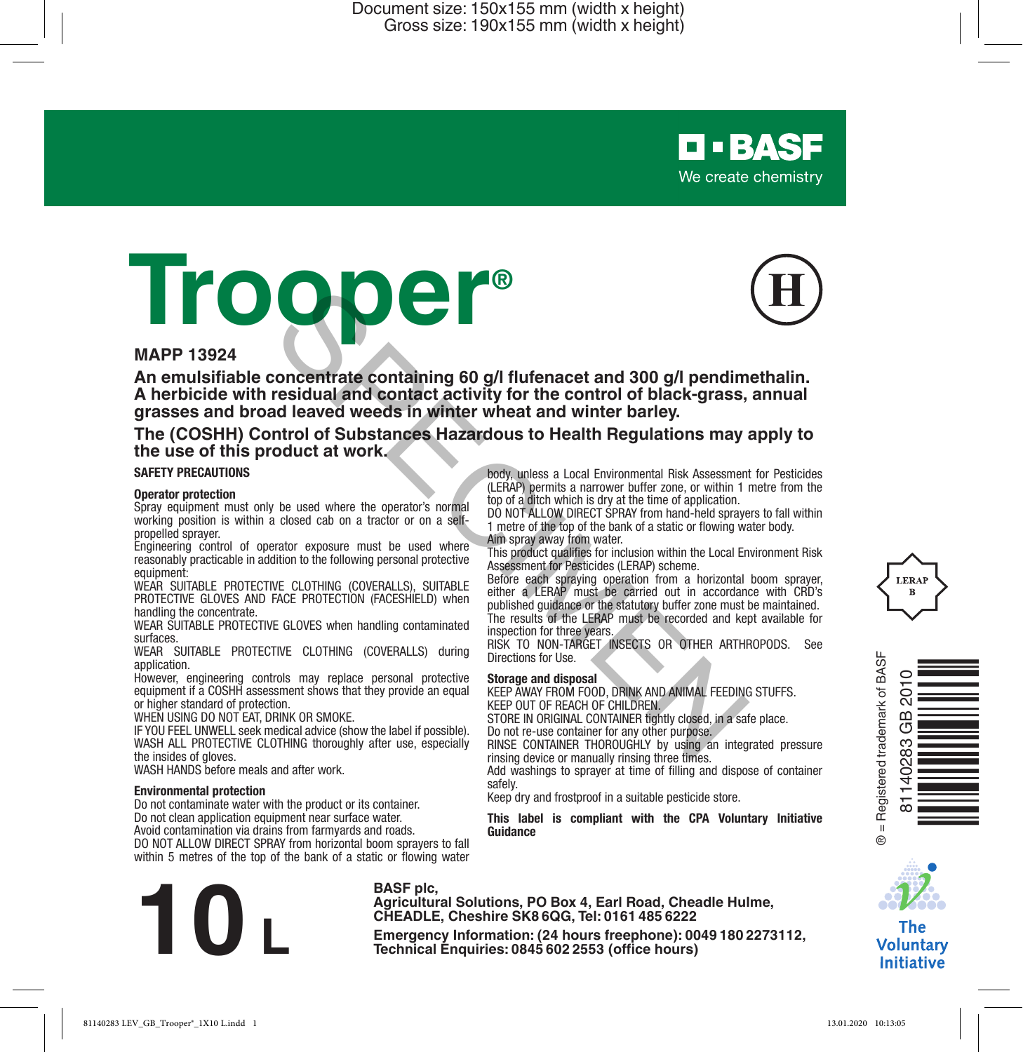# **O • BASE** We create chemistry

# **Trooper®**



#### **MAPP 13924**

**An emulsifiable concentrate containing 60 g/l flufenacet and 300 g/l pendimethalin. A herbicide with residual and contact activity for the control of black-grass, annual grasses and broad leaved weeds in winter wheat and winter barley. EXECUTE CONFIRM CONFIRMED** with the provide and disperse the state of the CHOMES when handling containing the state of the control of black-grass, and leaved weeds in winter wheat and winter barley.<br>
The used where the op

**The (COSHH) Control of Substances Hazardous to Health Regulations may apply to the use of this product at work.**

#### **SAFETY PRECAUTIONS**

#### **Operator protection**

Spray equipment must only be used where the operator's normal working position is within a closed cab on a tractor or on a selfpropelled sprayer.

Engineering control of operator exposure must be used where reasonably practicable in addition to the following personal protective equipment:

WEAR SUITABLE PROTECTIVE CLOTHING (COVERALLS), SUITABLE PROTECTIVE GLOVES AND FACE PROTECTION (FACESHIELD) when handling the concentrate.

WEAR SUITABLE PROTECTIVE GLOVES when handling contaminated surfaces.

WEAR SUITABLE PROTECTIVE CLOTHING (COVERALLS) during application.

However, engineering controls may replace personal protective equipment if a COSHH assessment shows that they provide an equal or higher standard of protection.

WHEN USING DO NOT EAT, DRINK OR SMOKE.

IF YOU FEEL UNWELL seek medical advice (show the label if possible). WASH ALL PROTECTIVE CLOTHING thoroughly after use, especially the insides of gloves.

WASH HANDS before meals and after work.

#### **Environmental protection**

Do not contaminate water with the product or its container. Do not clean application equipment near surface water. Avoid contamination via drains from farmyards and roads. DO NOT ALLOW DIRECT SPRAY from horizontal boom sprayers to fall

within 5 metres of the top of the bank of a static or flowing water

body, unless a Local Environmental Risk Assessment for Pesticides (LERAP) permits a narrower buffer zone, or within 1 metre from the top of a ditch which is dry at the time of application.

DO NOT ALLOW DIRECT SPRAY from hand-held sprayers to fall within 1 metre of the top of the bank of a static or flowing water body. Aim spray away from water.

This product qualifies for inclusion within the Local Environment Risk Assessment for Pesticides (LERAP) scheme.

Before each spraying operation from a horizontal boom sprayer, either a LERAP must be carried out in accordance with CRD's published guidance or the statutory buffer zone must be maintained. The results of the LERAP must be recorded and kept available for inspection for three years.

RISK TO NON-TARGET INSECTS OR OTHER ARTHROPODS. See Directions for Use.

#### **Storage and disposal**

KEEP AWAY FROM FOOD, DRINK AND ANIMAL FEEDING STUFFS. KEEP OUT OF REACH OF CHILDREN.

STORE IN ORIGINAL CONTAINER tightly closed, in a safe place. Do not re-use container for any other purpose.

RINSE CONTAINER THOROUGHLY by using an integrated pressure rinsing device or manually rinsing three times.

Add washings to sprayer at time of filling and dispose of container safely.

Keep dry and frostproof in a suitable pesticide store.

**This label is compliant with the CPA Voluntary Initiative Guidance**



**BASF plc,** 

**Agricultural Solutions, PO Box 4, Earl Road, Cheadle Hulme, CHEADLE, Cheshire SK8 6QG, Tel: 0161 485 6222**

**Example,**<br> **Emergency** Information: (24 hours freephone): 0049 180 2273112,<br> **Emergency Information: (24 hours freephone): 0049 180 2273112,<br>
Technical Enquiries: 0845 602 2553 (office hours)** 







The **Voluntary Initiative**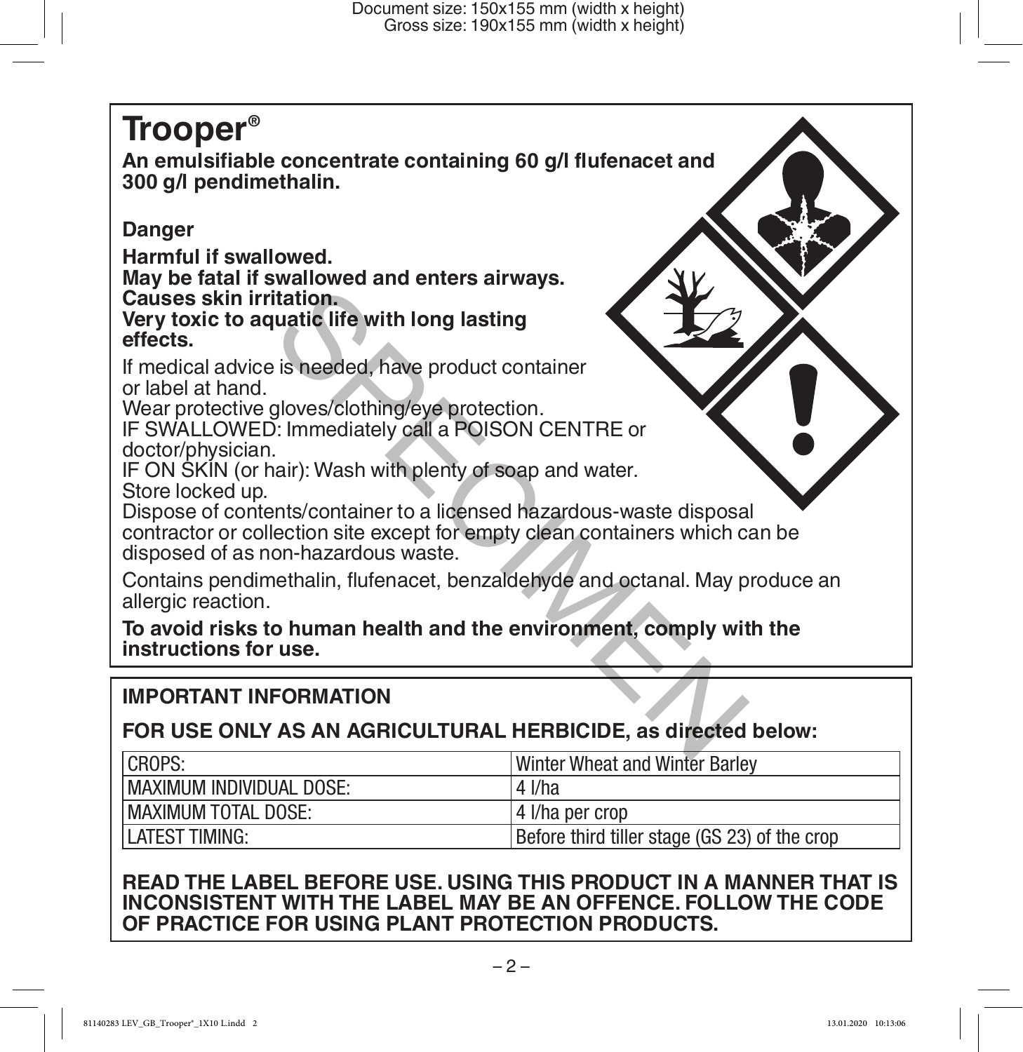# **Trooper®**

**An emulsifiable concentrate containing 60 g/l flufenacet and 300 g/l pendimethalin.** 

# **Danger**

**Harmful if swallowed.**

**May be fatal if swallowed and enters airways. Causes skin irritation.**

**Very toxic to aquatic life with long lasting effects.**

If medical advice is needed, have product container or label at hand.

Wear protective gloves/clothing/eye protection.

IF SWALLOWED: Immediately call a POISON CENTRE or doctor/physician.

IF ON SKIN (or hair): Wash with plenty of soap and water. Store locked up.

Dispose of contents/container to a licensed hazardous-waste disposal contractor or collection site except for empty clean containers which can be disposed of as non-hazardous waste. Itation.<br>
uatic life with long lasting<br>
is needed, have product container<br>
gloves/clothing/eye protection.<br>
D: Immediately call a POISON CENTRE or<br>
inair): Wash with plenty of soap and water.<br>
ents/container to a licensed

Contains pendimethalin, flufenacet, benzaldehyde and octanal. May produce an allergic reaction.

**To avoid risks to human health and the environment, comply with the instructions for use.**

# **IMPORTANT INFORMATION**

# **FOR USE ONLY AS AN AGRICULTURAL HERBICIDE, as directed below:**

| CROPS:                      | Winter Wheat and Winter Barley                |  |
|-----------------------------|-----------------------------------------------|--|
| MAXIMUM INDIVIDUAL DOSE:    | $4$ I/ha                                      |  |
| <b>IMAXIMUM TOTAL DOSE:</b> | l 4 I/ha per crop                             |  |
| LATEST TIMING:              | Before third tiller stage (GS 23) of the crop |  |

# **READ THE LABEL BEFORE USE. USING THIS PRODUCT IN A MANNER THAT IS INCONSISTENT WITH THE LABEL MAY BE AN OFFENCE. FOLLOW THE CODE OF PRACTICE FOR USING PLANT PROTECTION PRODUCTS.**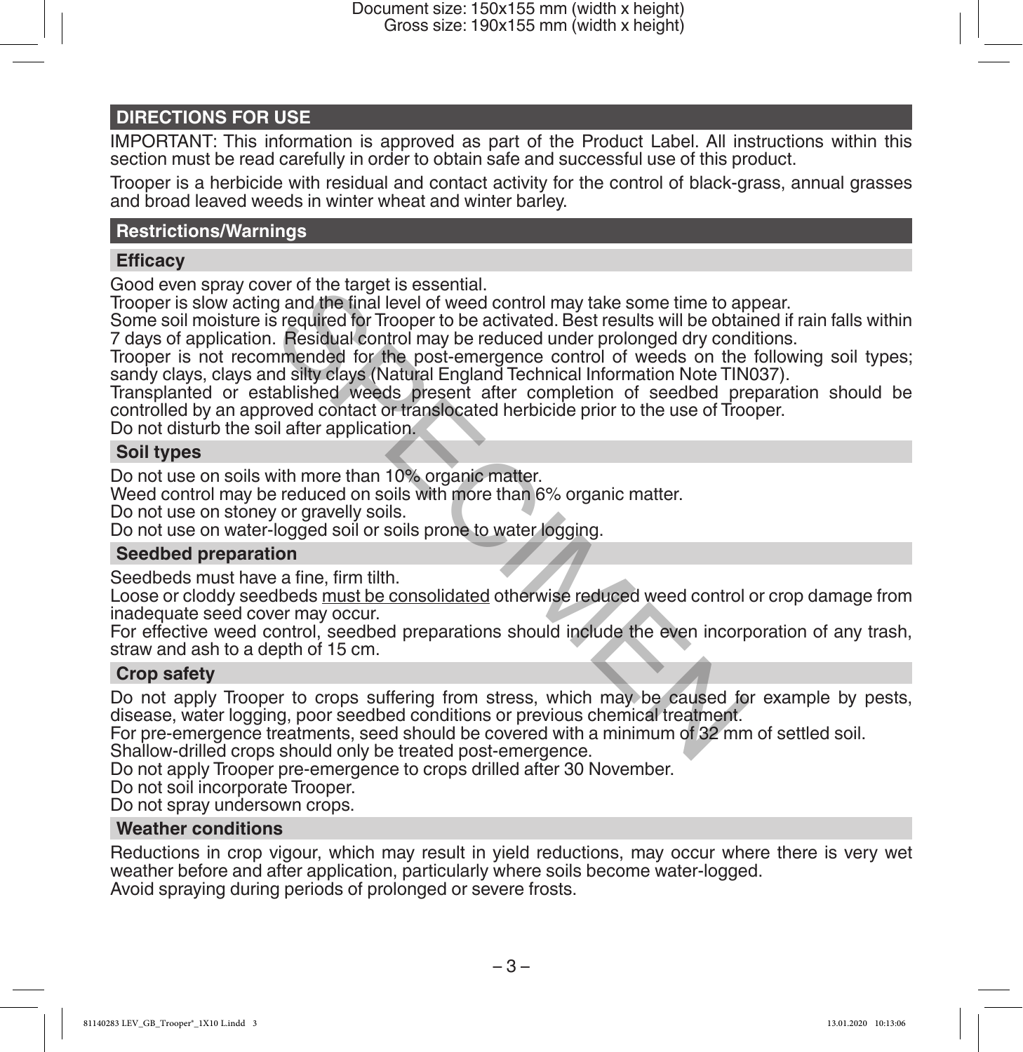#### **DIRECTIONS FOR USE**

IMPORTANT: This information is approved as part of the Product Label. All instructions within this section must be read carefully in order to obtain safe and successful use of this product.

Trooper is a herbicide with residual and contact activity for the control of black-grass, annual grasses and broad leaved weeds in winter wheat and winter barley.

#### **Restrictions/Warnings**

#### **Efficacy**

Good even spray cover of the target is essential.

Trooper is slow acting and the final level of weed control may take some time to appear.

Some soil moisture is required for Trooper to be activated. Best results will be obtained if rain falls within 7 days of application. Residual control may be reduced under prolonged dry conditions.

Trooper is not recommended for the post-emergence control of weeds on the following soil types; sandy clays, clays and silty clays (Natural England Technical Information Note TIN037).

Transplanted or established weeds present after completion of seedbed preparation should be controlled by an approved contact or translocated herbicide prior to the use of Trooper. For of the target is essential.<br>It and the final level of weed control may take some time to approach and the final level of Resoluted. Best results will be obtate. Residual control may be reduced under prolonged dry conce

Do not disturb the soil after application.

#### **Soil types**

Do not use on soils with more than 10% organic matter.

Weed control may be reduced on soils with more than 6% organic matter.

Do not use on stoney or gravelly soils.

Do not use on water-logged soil or soils prone to water logging.

#### **Seedbed preparation**

Seedbeds must have a fine, firm tilth.

Loose or cloddy seedbeds must be consolidated otherwise reduced weed control or crop damage from inadequate seed cover may occur.

For effective weed control, seedbed preparations should include the even incorporation of any trash, straw and ash to a depth of 15 cm.

#### **Crop safety**

Do not apply Trooper to crops suffering from stress, which may be caused for example by pests, disease, water logging, poor seedbed conditions or previous chemical treatment.

For pre-emergence treatments, seed should be covered with a minimum of 32 mm of settled soil.

Shallow-drilled crops should only be treated post-emergence.

Do not apply Trooper pre-emergence to crops drilled after 30 November.

Do not soil incorporate Trooper.

Do not spray undersown crops.

#### **Weather conditions**

Reductions in crop vigour, which may result in yield reductions, may occur where there is very wet weather before and after application, particularly where soils become water-logged. Avoid spraying during periods of prolonged or severe frosts.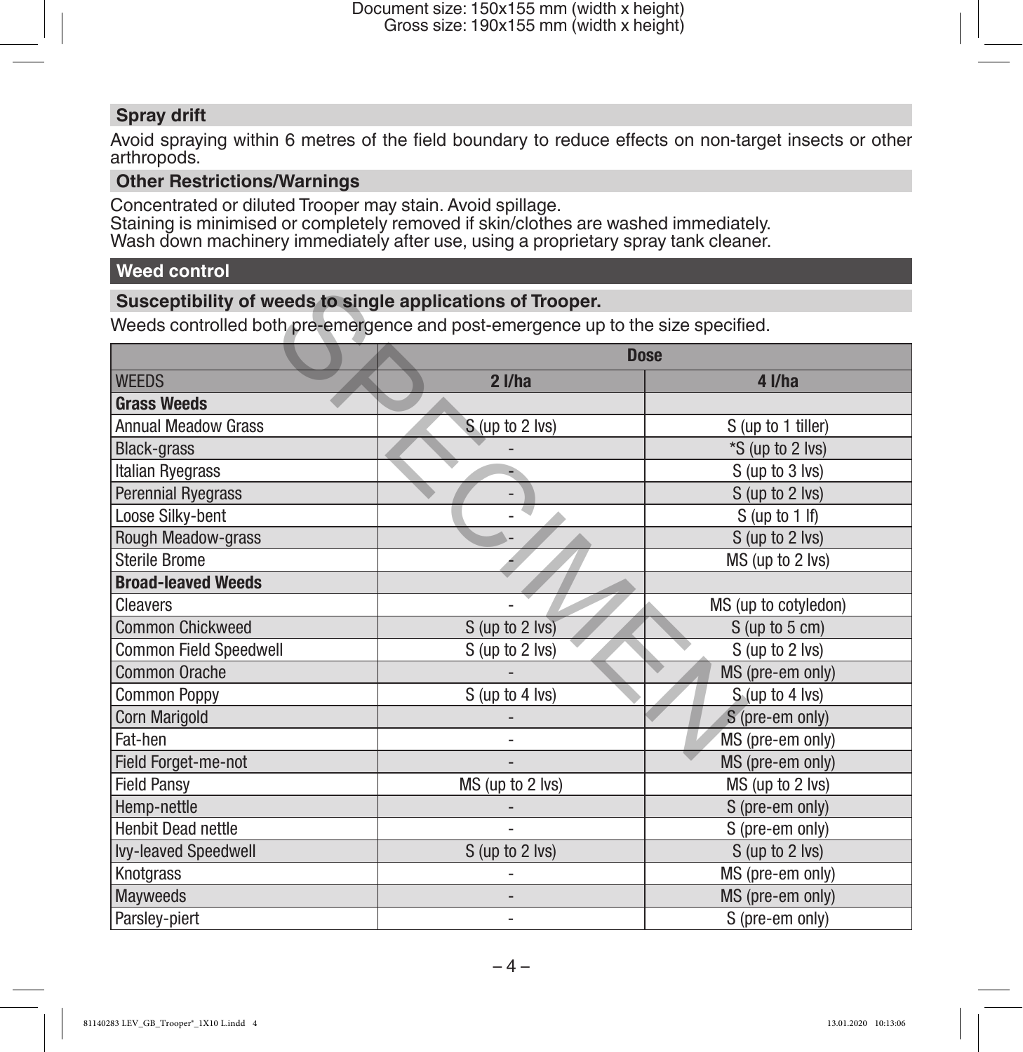## **Spray drift**

Avoid spraying within 6 metres of the field boundary to reduce effects on non-target insects or other arthropods.

#### **Other Restrictions/Warnings**

Concentrated or diluted Trooper may stain. Avoid spillage. Staining is minimised or completely removed if skin/clothes are washed immediately. Wash down machinery immediately after use, using a proprietary spray tank cleaner.

## **Weed control**

#### **Susceptibility of weeds to single applications of Trooper.**

| Susceptibility of weeds to single applications of Trooper.                       |                  |                      |  |
|----------------------------------------------------------------------------------|------------------|----------------------|--|
| Weeds controlled both pre-emergence and post-emergence up to the size specified. |                  |                      |  |
|                                                                                  | <b>Dose</b>      |                      |  |
| <b>WEEDS</b>                                                                     | $2$ I/ha         | $4$ I/ha             |  |
| <b>Grass Weeds</b>                                                               |                  |                      |  |
| <b>Annual Meadow Grass</b>                                                       | S (up to 2 lvs)  | S (up to 1 tiller)   |  |
| <b>Black-grass</b>                                                               |                  | *S (up to 2 lvs)     |  |
| Italian Ryegrass                                                                 |                  | S (up to 3 lvs)      |  |
| Perennial Ryegrass                                                               |                  | S (up to 2 lvs)      |  |
| Loose Silky-bent                                                                 |                  | $S$ (up to 1 If)     |  |
| Rough Meadow-grass                                                               |                  | S (up to 2 lvs)      |  |
| Sterile Brome                                                                    |                  | MS (up to 2 lvs)     |  |
| <b>Broad-leaved Weeds</b>                                                        |                  |                      |  |
| Cleavers                                                                         |                  | MS (up to cotyledon) |  |
| <b>Common Chickweed</b>                                                          | S (up to 2 lvs)  | $S$ (up to 5 cm)     |  |
| Common Field Speedwell                                                           | S (up to 2 lvs)  | S (up to 2 lvs)      |  |
| Common Orache                                                                    |                  | MS (pre-em only)     |  |
| <b>Common Poppy</b>                                                              | S (up to 4 lvs)  | S (up to 4 lvs)      |  |
| Corn Marigold                                                                    |                  | S (pre-em only)      |  |
| Fat-hen                                                                          |                  | MS (pre-em only)     |  |
| Field Forget-me-not                                                              |                  | MS (pre-em only)     |  |
| <b>Field Pansy</b>                                                               | MS (up to 2 lvs) | MS (up to 2 lvs)     |  |
| Hemp-nettle                                                                      |                  | S (pre-em only)      |  |
| Henbit Dead nettle                                                               |                  | S (pre-em only)      |  |
| Ivy-leaved Speedwell                                                             | S (up to 2 lvs)  | S (up to 2 lvs)      |  |
| Knotgrass                                                                        |                  | MS (pre-em only)     |  |
| <b>Mayweeds</b>                                                                  |                  | MS (pre-em only)     |  |
| Parsley-piert                                                                    |                  | S (pre-em only)      |  |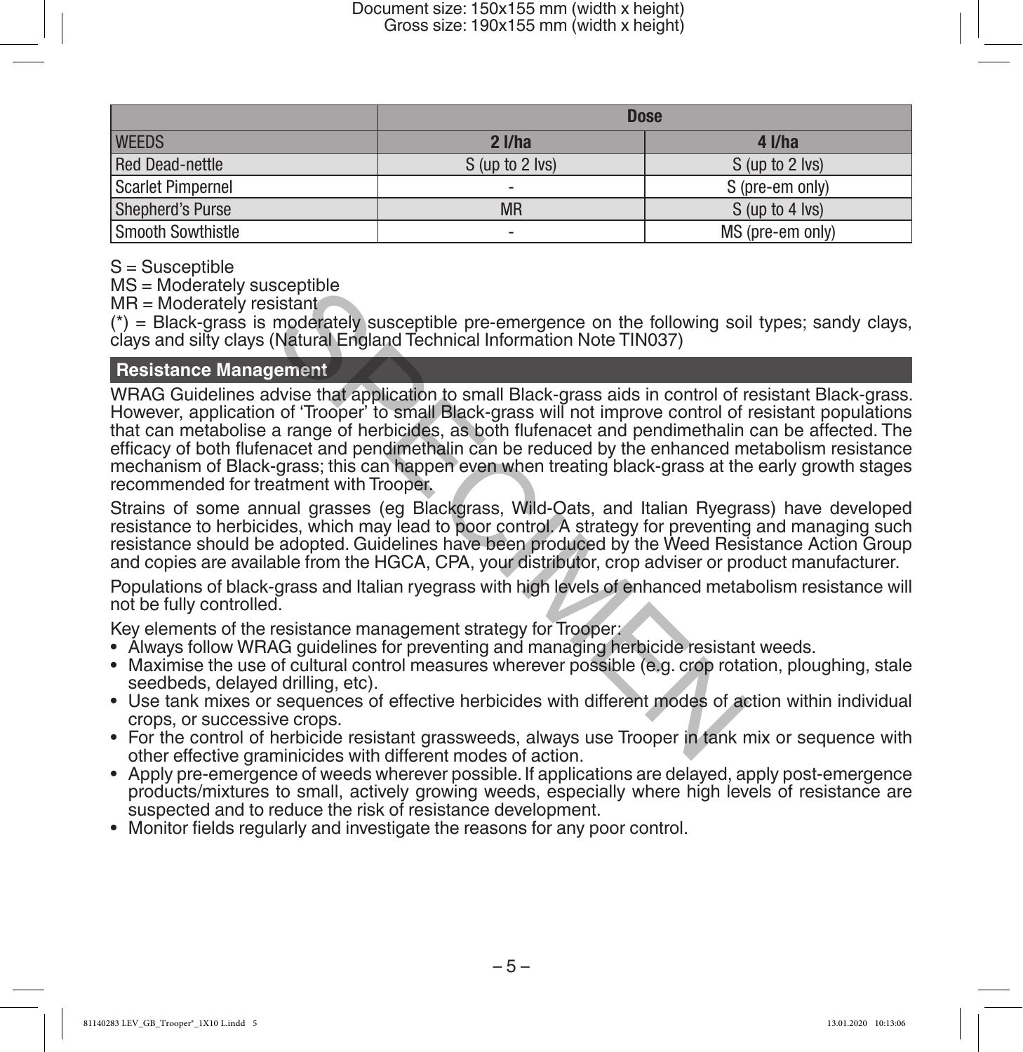|                   | <b>Dose</b>     |                  |
|-------------------|-----------------|------------------|
| <b>WEEDS</b>      | $2$ I/ha        | $4$ I/ha         |
| Red Dead-nettle   | S (up to 2 lvs) | S (up to 2 lvs)  |
| Scarlet Pimpernel | -               | S (pre-em only)  |
| Shepherd's Purse  | <b>MR</b>       | S (up to 4 lvs)  |
| Smooth Sowthistle | -               | MS (pre-em only) |

S = Susceptible

MS = Moderately susceptible

 $MR = Moderned$  resistant

 $(*)$  = Black-grass is moderately susceptible pre-emergence on the following soil types; sandy clays, clays and silty clays (Natural England Technical Information Note TIN037)

#### **Resistance Management**

WRAG Guidelines advise that application to small Black-grass aids in control of resistant Black-grass. However, application of 'Trooper' to small Black-grass will not improve control of resistant populations that can metabolise a range of herbicides, as both flufenacet and pendimethalin can be affected. The efficacy of both flufenacet and pendimethalin can be reduced by the enhanced metabolism resistance mechanism of Black-grass; this can happen even when treating black-grass at the early growth stages recommended for treatment with Trooper. Scepuble<br>
sistant<br>
island<br>
indeferably susceptible pre-emergence on the following soil<br>
(Natural England Technical Information Note TIN037)<br>
1 of 'Trooper' to small Black-grass aids in control of<br>
a range of herbicides, as

Strains of some annual grasses (eg Blackgrass, Wild-Oats, and Italian Ryegrass) have developed resistance to herbicides, which may lead to poor control. A strategy for preventing and managing such resistance should be adopted. Guidelines have been produced by the Weed Resistance Action Group and copies are available from the HGCA, CPA, your distributor, crop adviser or product manufacturer.

Populations of black-grass and Italian ryegrass with high levels of enhanced metabolism resistance will not be fully controlled.

Key elements of the resistance management strategy for Trooper:

- Always follow WRAG guidelines for preventing and managing herbicide resistant weeds.
- Maximise the use of cultural control measures wherever possible (e.g. crop rotation, ploughing, stale seedbeds, delayed drilling, etc).
- Use tank mixes or sequences of effective herbicides with different modes of action within individual crops, or successive crops.
- For the control of herbicide resistant grassweeds, always use Trooper in tank mix or sequence with other effective graminicides with different modes of action.
- Apply pre-emergence of weeds wherever possible. If applications are delayed, apply post-emergence products/mixtures to small, actively growing weeds, especially where high levels of resistance are suspected and to reduce the risk of resistance development.
- Monitor fields regularly and investigate the reasons for any poor control.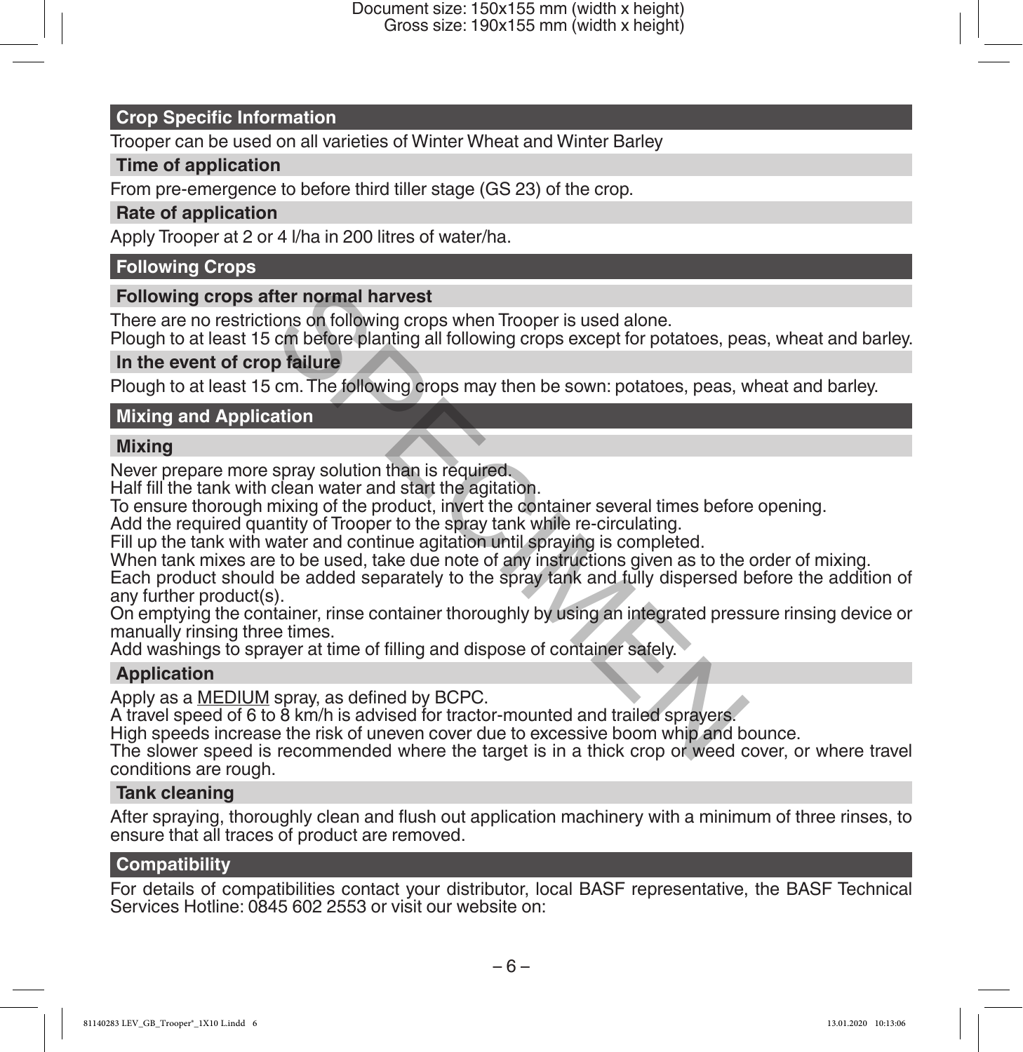#### **Crop Specific Information**

Trooper can be used on all varieties of Winter Wheat and Winter Barley

#### **Time of application**

From pre-emergence to before third tiller stage (GS 23) of the crop.

#### **Rate of application**

Apply Trooper at 2 or 4 l/ha in 200 litres of water/ha.

#### **Following Crops**

#### **Following crops after normal harvest**

There are no restrictions on following crops when Trooper is used alone.

Plough to at least 15 cm before planting all following crops except for potatoes, peas, wheat and barley.

#### **In the event of crop failure**

Plough to at least 15 cm. The following crops may then be sown: potatoes, peas, wheat and barley.

#### **Mixing and Application**

#### **Mixing**

Never prepare more spray solution than is required.

Half fill the tank with clean water and start the agitation.

To ensure thorough mixing of the product, invert the container several times before opening.

Add the required quantity of Trooper to the spray tank while re-circulating.

Fill up the tank with water and continue agitation until spraying is completed.

When tank mixes are to be used, take due note of any instructions given as to the order of mixing.

Each product should be added separately to the spray tank and fully dispersed before the addition of any further product(s). fter normal harvest<br>cions on following crops when Trooper is used alone.<br>cm before planting all following crops except for potatoes, pe<br>p failure<br>cm. The following crops may then be sown: potatoes, peas, v<br>ation<br>clean wate

On emptying the container, rinse container thoroughly by using an integrated pressure rinsing device or manually rinsing three times.

Add washings to sprayer at time of filling and dispose of container safely.

## **Application**

Apply as a MEDIUM spray, as defined by BCPC.

A travel speed of 6 to 8 km/h is advised for tractor-mounted and trailed sprayers.

High speeds increase the risk of uneven cover due to excessive boom whip and bounce.

The slower speed is recommended where the target is in a thick crop or weed cover, or where travel conditions are rough.

#### **Tank cleaning**

After spraying, thoroughly clean and flush out application machinery with a minimum of three rinses, to ensure that all traces of product are removed.

#### **Compatibility**

For details of compatibilities contact your distributor, local BASF representative, the BASF Technical Services Hotline: 0845 602 2553 or visit our website on: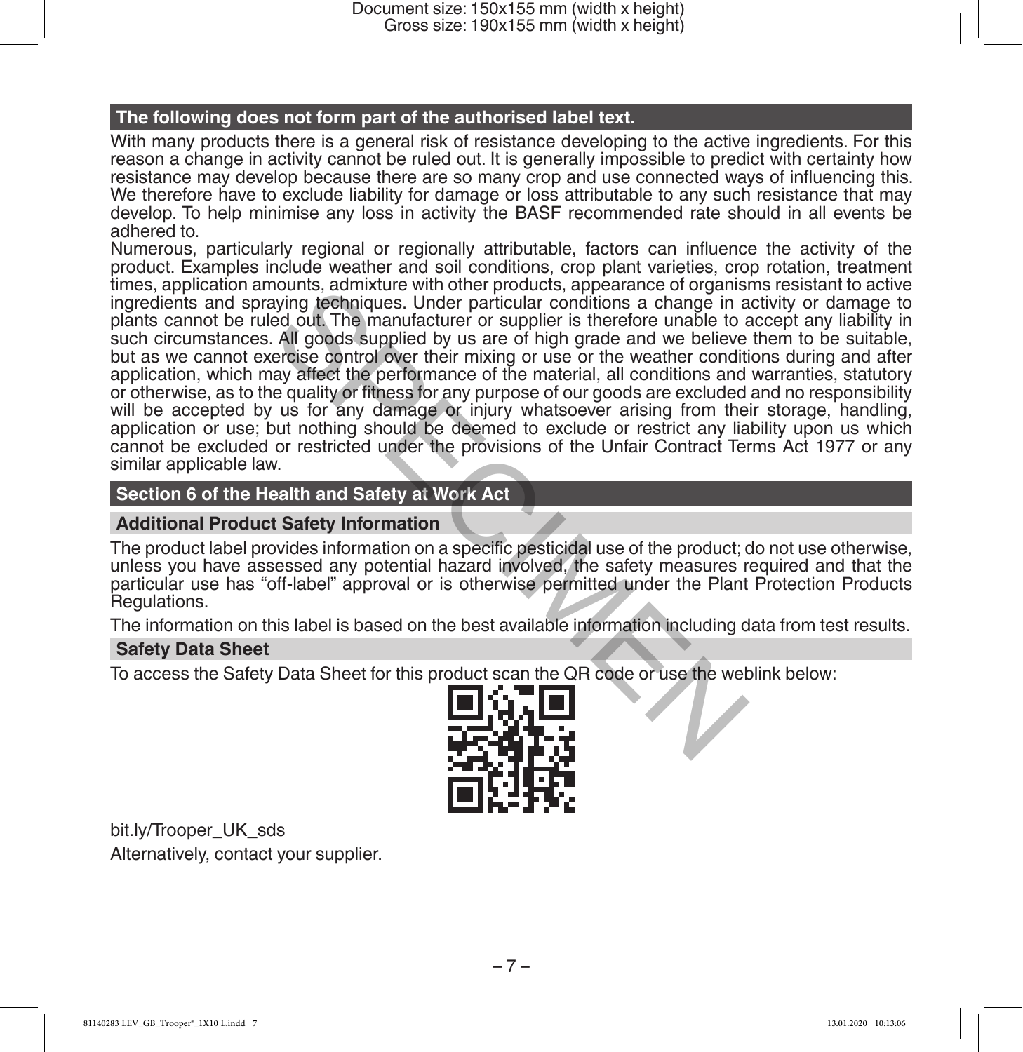#### **The following does not form part of the authorised label text.**

With many products there is a general risk of resistance developing to the active ingredients. For this reason a change in activity cannot be ruled out. It is generally impossible to predict with certainty how resistance may develop because there are so many crop and use connected ways of influencing this. We therefore have to exclude liability for damage or loss attributable to any such resistance that may develop. To help minimise any loss in activity the BASF recommended rate should in all events be adhered to.

Numerous, particularly regional or regionally attributable, factors can influence the activity of the product. Examples include weather and soil conditions, crop plant varieties, crop rotation, treatment times, application amounts, admixture with other products, appearance of organisms resistant to active ingredients and spraying techniques. Under particular conditions a change in activity or damage to plants cannot be ruled out. The manufacturer or supplier is therefore unable to accept any liability in such circumstances. All goods supplied by us are of high grade and we believe them to be suitable, but as we cannot exercise control over their mixing or use or the weather conditions during and after application, which may affect the performance of the material, all conditions and warranties, statutory or otherwise, as to the quality or fitness for any purpose of our goods are excluded and no responsibility will be accepted by us for any damage or injury whatsoever arising from their storage, handling, application or use; but nothing should be deemed to exclude or restrict any liability upon us which cannot be excluded or restricted under the provisions of the Unfair Contract Terms Act 1977 or any similar applicable law. noting, admixture with other protoucts, appearance of tygalantice or origins<br>aying techniques. Under particular conditions a change in a<br>ed out. The manufacturer or supplier is therefore unable to a<br>All goods supplied by u

#### **Section 6 of the Health and Safety at Work Act**

#### **Additional Product Safety Information**

The product label provides information on a specific pesticidal use of the product; do not use otherwise, unless you have assessed any potential hazard involved, the safety measures required and that the particular use has "off-label" approval or is otherwise permitted under the Plant Protection Products Regulations.

The information on this label is based on the best available information including data from test results.

#### **Safety Data Sheet**

To access the Safety Data Sheet for this product scan the QR code or use the weblink below:



bit.ly/Trooper\_UK\_sds Alternatively, contact your supplier.